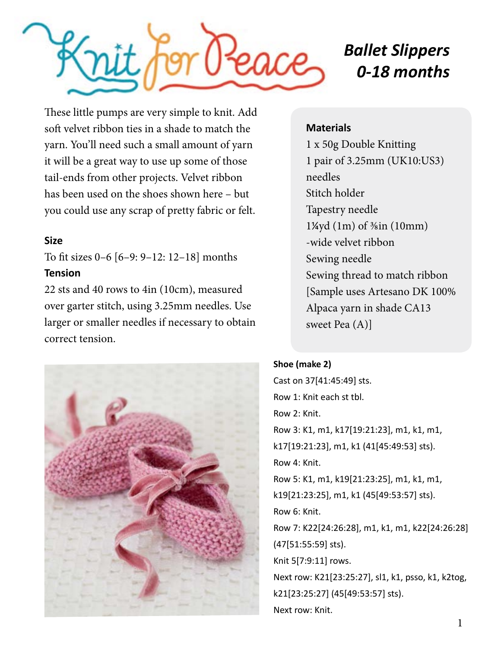

# *Ballet Slippers 0-18 months*

These little pumps are very simple to knit. Add soft velvet ribbon ties in a shade to match the yarn. You'll need such a small amount of yarn it will be a great way to use up some of those tail-ends from other projects. Velvet ribbon has been used on the shoes shown here – but you could use any scrap of pretty fabric or felt.

### **Size**

To fit sizes 0–6 [6–9: 9–12: 12–18] months **Tension** 

22 sts and 40 rows to 4in (10cm), measured over garter stitch, using 3.25mm needles. Use larger or smaller needles if necessary to obtain correct tension.



### **Materials**

1 x 50g Double Knitting 1 pair of 3.25mm (UK10:US3) needles Stitch holder Tapestry needle 1¼yd (1m) of ⅜in (10mm) -wide velvet ribbon Sewing needle Sewing thread to match ribbon [Sample uses Artesano DK 100% Alpaca yarn in shade CA13 sweet Pea (A)]

## **Shoe (make 2)**

Cast on 37[41:45:49] sts. Row 1: Knit each st tbl. Row 2: Knit. Row 3: K1, m1, k17[19:21:23], m1, k1, m1, k17[19:21:23], m1, k1 (41[45:49:53] sts). Row 4: Knit. Row 5: K1, m1, k19[21:23:25], m1, k1, m1, k19[21:23:25], m1, k1 (45[49:53:57] sts). Row 6: Knit. Row 7: K22[24:26:28], m1, k1, m1, k22[24:26:28] (47[51:55:59] sts). Knit 5[7:9:11] rows. Next row: K21[23:25:27], sl1, k1, psso, k1, k2tog, k21[23:25:27] (45[49:53:57] sts). Next row: Knit.